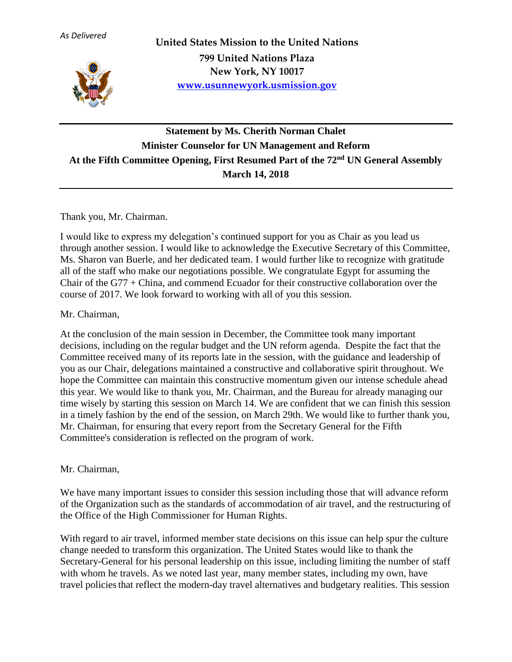

**United States Mission to the United Nations 799 United Nations Plaza New York, NY 10017 [www.usunnewyork.usmission.gov](http://www.usunnewyork.usmission.gov/)**

## **Statement by Ms. Cherith Norman Chalet Minister Counselor for UN Management and Reform At the Fifth Committee Opening, First Resumed Part of the 72nd UN General Assembly March 14, 2018**

Thank you, Mr. Chairman.

I would like to express my delegation's continued support for you as Chair as you lead us through another session. I would like to acknowledge the Executive Secretary of this Committee, Ms. Sharon van Buerle, and her dedicated team. I would further like to recognize with gratitude all of the staff who make our negotiations possible. We congratulate Egypt for assuming the Chair of the G77 + China, and commend Ecuador for their constructive collaboration over the course of 2017. We look forward to working with all of you this session.

## Mr. Chairman,

At the conclusion of the main session in December, the Committee took many important decisions, including on the regular budget and the UN reform agenda. Despite the fact that the Committee received many of its reports late in the session, with the guidance and leadership of you as our Chair, delegations maintained a constructive and collaborative spirit throughout. We hope the Committee can maintain this constructive momentum given our intense schedule ahead this year. We would like to thank you, Mr. Chairman, and the Bureau for already managing our time wisely by starting this session on March 14. We are confident that we can finish this session in a timely fashion by the end of the session, on March 29th. We would like to further thank you, Mr. Chairman, for ensuring that every report from the Secretary General for the Fifth Committee's consideration is reflected on the program of work.

## Mr. Chairman,

We have many important issues to consider this session including those that will advance reform of the Organization such as the standards of accommodation of air travel, and the restructuring of the Office of the High Commissioner for Human Rights.

With regard to air travel, informed member state decisions on this issue can help spur the culture change needed to transform this organization. The United States would like to thank the Secretary-General for his personal leadership on this issue, including limiting the number of staff with whom he travels. As we noted last year, many member states, including my own, have travel policiesthat reflect the modern-day travel alternatives and budgetary realities. This session